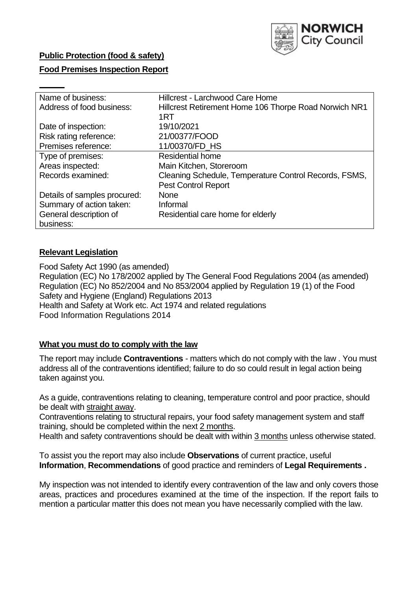

### **Public Protection (food & safety)**

### **Food Premises Inspection Report**

| Name of business:            | Hillcrest - Larchwood Care Home                       |
|------------------------------|-------------------------------------------------------|
| Address of food business:    | Hillcrest Retirement Home 106 Thorpe Road Norwich NR1 |
|                              | 1RT                                                   |
| Date of inspection:          | 19/10/2021                                            |
| Risk rating reference:       | 21/00377/FOOD                                         |
| Premises reference:          | 11/00370/FD HS                                        |
| Type of premises:            | <b>Residential home</b>                               |
| Areas inspected:             | Main Kitchen, Storeroom                               |
| Records examined:            | Cleaning Schedule, Temperature Control Records, FSMS, |
|                              | <b>Pest Control Report</b>                            |
| Details of samples procured: | <b>None</b>                                           |
| Summary of action taken:     | Informal                                              |
| General description of       | Residential care home for elderly                     |
| business:                    |                                                       |

### **Relevant Legislation**

 Food Safety Act 1990 (as amended) Regulation (EC) No 178/2002 applied by The General Food Regulations 2004 (as amended) Regulation (EC) No 852/2004 and No 853/2004 applied by Regulation 19 (1) of the Food Safety and Hygiene (England) Regulations 2013 Health and Safety at Work etc. Act 1974 and related regulations Food Information Regulations 2014

### **What you must do to comply with the law**

 The report may include **Contraventions** - matters which do not comply with the law . You must address all of the contraventions identified; failure to do so could result in legal action being taken against you.

 As a guide, contraventions relating to cleaning, temperature control and poor practice, should be dealt with straight away.

 Contraventions relating to structural repairs, your food safety management system and staff training, should be completed within the next 2 months.

Health and safety contraventions should be dealt with within 3 months unless otherwise stated.

 To assist you the report may also include **Observations** of current practice, useful **Information**, **Recommendations** of good practice and reminders of **Legal Requirements .** 

 My inspection was not intended to identify every contravention of the law and only covers those areas, practices and procedures examined at the time of the inspection. If the report fails to mention a particular matter this does not mean you have necessarily complied with the law.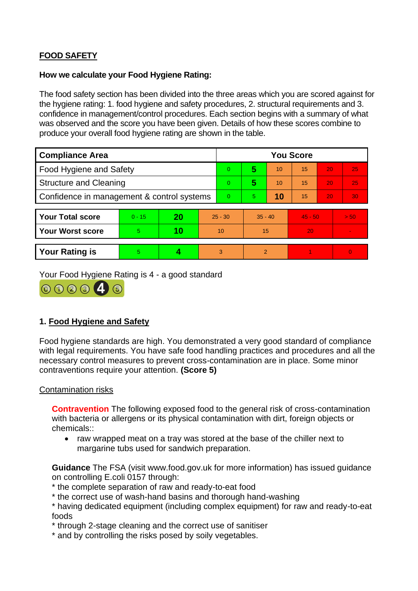# **FOOD SAFETY**

### **How we calculate your Food Hygiene Rating:**

 The food safety section has been divided into the three areas which you are scored against for the hygiene rating: 1. food hygiene and safety procedures, 2. structural requirements and 3. confidence in management/control procedures. Each section begins with a summary of what was observed and the score you have been given. Details of how these scores combine to produce your overall food hygiene rating are shown in the table.

| <b>Compliance Area</b>                     |          |    |           | <b>You Score</b> |                |    |                 |    |                |  |  |
|--------------------------------------------|----------|----|-----------|------------------|----------------|----|-----------------|----|----------------|--|--|
| <b>Food Hygiene and Safety</b>             |          |    |           | 0                | 5              | 10 | $\overline{15}$ | 20 | 25             |  |  |
| <b>Structure and Cleaning</b>              |          |    |           | $\Omega$         | 5              | 10 | 15              | 20 | 25             |  |  |
| Confidence in management & control systems |          |    |           | $\Omega$         | $\overline{5}$ | 10 | 15              | 20 | 30             |  |  |
|                                            |          |    |           |                  |                |    |                 |    |                |  |  |
| <b>Your Total score</b>                    | $0 - 15$ | 20 | $25 - 30$ |                  | $35 - 40$      |    | $45 - 50$       |    | > 50           |  |  |
| Your Worst score                           | 5.       | 10 | 10        |                  | 15             |    | 20              |    | $\blacksquare$ |  |  |
|                                            |          |    |           |                  |                |    |                 |    |                |  |  |
| <b>Your Rating is</b>                      | 5        |    |           | 3                | 2              |    |                 |    | $\overline{0}$ |  |  |

Your Food Hygiene Rating is 4 - a good standard



## **1. Food Hygiene and Safety**

 with legal requirements. You have safe food handling practices and procedures and all the Food hygiene standards are high. You demonstrated a very good standard of compliance necessary control measures to prevent cross-contamination are in place. Some minor contraventions require your attention. **(Score 5)** 

### Contamination risks

 **Contravention** The following exposed food to the general risk of cross-contamination with bacteria or allergens or its physical contamination with dirt, foreign objects or chemicals::

• raw wrapped meat on a tray was stored at the base of the chiller next to margarine tubs used for sandwich preparation.

 **Guidance** The FSA (visit <www.food.gov.uk> for more information) has issued guidance on controlling E.coli 0157 through:

- \* the complete separation of raw and ready-to-eat food
- \* the correct use of wash-hand basins and thorough hand-washing
- \* having dedicated equipment (including complex equipment) for raw and ready-to-eat foods
- \* through 2-stage cleaning and the correct use of sanitiser
- \* and by controlling the risks posed by soily vegetables.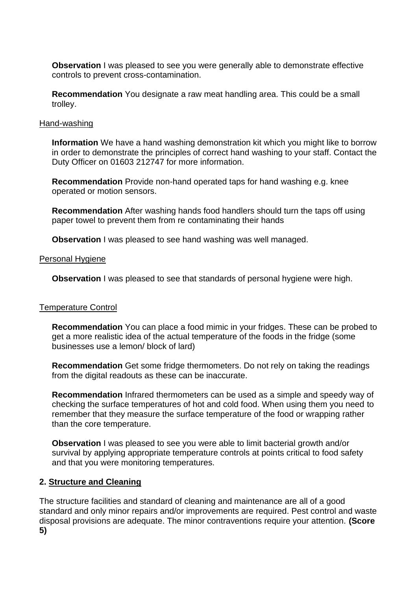**Observation** I was pleased to see you were generally able to demonstrate effective controls to prevent cross-contamination.

**Recommendation** You designate a raw meat handling area. This could be a small trolley.

#### Hand-washing

 **Information** We have a hand washing demonstration kit which you might like to borrow Duty Officer on 01603 212747 for more information. in order to demonstrate the principles of correct hand washing to your staff. Contact the

**Recommendation** Provide non-hand operated taps for hand washing e.g. knee operated or motion sensors.

 **Recommendation** After washing hands food handlers should turn the taps off using paper towel to prevent them from re contaminating their hands

**Observation** I was pleased to see hand washing was well managed.

#### Personal Hygiene

**Observation** I was pleased to see that standards of personal hygiene were high.

### Temperature Control

 **Recommendation** You can place a food mimic in your fridges. These can be probed to get a more realistic idea of the actual temperature of the foods in the fridge (some businesses use a lemon/ block of lard)

**Recommendation** Get some fridge thermometers. Do not rely on taking the readings from the digital readouts as these can be inaccurate.

**Recommendation** Infrared thermometers can be used as a simple and speedy way of checking the surface temperatures of hot and cold food. When using them you need to remember that they measure the surface temperature of the food or wrapping rather than the core temperature.

**Observation I** was pleased to see you were able to limit bacterial growth and/or survival by applying appropriate temperature controls at points critical to food safety and that you were monitoring temperatures.

### **2. Structure and Cleaning**

 The structure facilities and standard of cleaning and maintenance are all of a good standard and only minor repairs and/or improvements are required. Pest control and waste disposal provisions are adequate. The minor contraventions require your attention. **(Score 5)**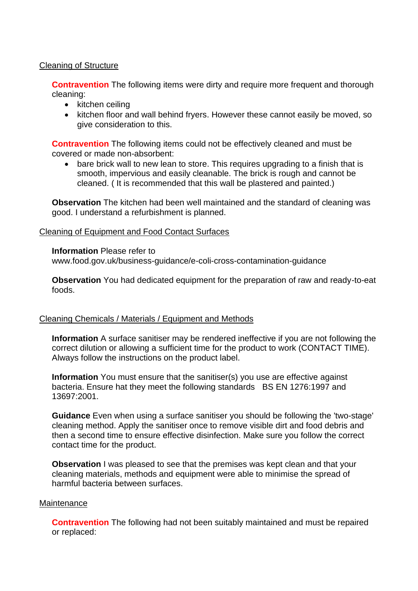### Cleaning of Structure

**Contravention** The following items were dirty and require more frequent and thorough cleaning:

- kitchen ceiling
- • kitchen floor and wall behind fryers. However these cannot easily be moved, so give consideration to this.

 **Contravention** The following items could not be effectively cleaned and must be covered or made non-absorbent:

• bare brick wall to new lean to store. This requires upgrading to a finish that is smooth, impervious and easily cleanable. The brick is rough and cannot be cleaned. ( It is recommended that this wall be plastered and painted.)

 **Observation** The kitchen had been well maintained and the standard of cleaning was good. I understand a refurbishment is planned.

#### Cleaning of Equipment and Food Contact Surfaces

**Information** Please refer to

<www.food.gov.uk/business-guidance/e-coli-cross-contamination-guidance>

 **Observation** You had dedicated equipment for the preparation of raw and ready-to-eat foods.

#### Cleaning Chemicals / Materials / Equipment and Methods

**Information** A surface sanitiser may be rendered ineffective if you are not following the correct dilution or allowing a sufficient time for the product to work (CONTACT TIME). Always follow the instructions on the product label.

 bacteria. Ensure hat they meet the following standards BS EN 1276:1997 and **Information** You must ensure that the sanitiser(s) you use are effective against 13697:2001.

 **Guidance** Even when using a surface sanitiser you should be following the 'two-stage' cleaning method. Apply the sanitiser once to remove visible dirt and food debris and then a second time to ensure effective disinfection. Make sure you follow the correct contact time for the product.

**Observation** I was pleased to see that the premises was kept clean and that your cleaning materials, methods and equipment were able to minimise the spread of harmful bacteria between surfaces.

#### **Maintenance**

**Contravention** The following had not been suitably maintained and must be repaired or replaced: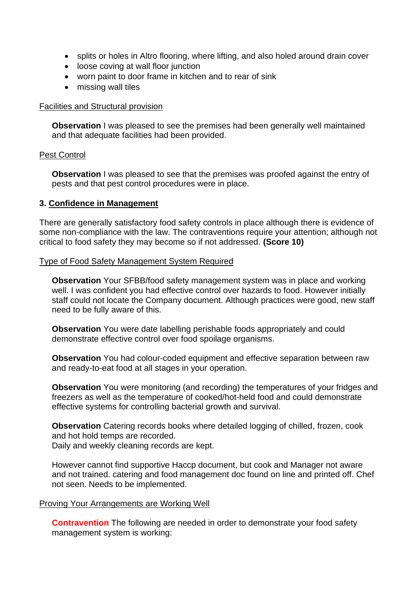- splits or holes in Altro flooring, where lifting, and also holed around drain cover
- loose coving at wall floor junction
- worn paint to door frame in kitchen and to rear of sink
- missing wall tiles

#### Facilities and Structural provision

 **Observation** I was pleased to see the premises had been generally well maintained and that adequate facilities had been provided.

#### Pest Control

**Observation** I was pleased to see that the premises was proofed against the entry of pests and that pest control procedures were in place.

#### **3. Confidence in Management**

 There are generally satisfactory food safety controls in place although there is evidence of some non-compliance with the law. The contraventions require your attention; although not critical to food safety they may become so if not addressed. **(Score 10)** 

#### Type of Food Safety Management System Required

**Observation** Your SFBB/food safety management system was in place and working well. I was confident you had effective control over hazards to food. However initially staff could not locate the Company document. Although practices were good, new staff need to be fully aware of this.

 demonstrate effective control over food spoilage organisms. **Observation** You were date labelling perishable foods appropriately and could

**Observation** You had colour-coded equipment and effective separation between raw and ready-to-eat food at all stages in your operation.

**Observation** You were monitoring (and recording) the temperatures of your fridges and freezers as well as the temperature of cooked/hot-held food and could demonstrate effective systems for controlling bacterial growth and survival.

**Observation** Catering records books where detailed logging of chilled, frozen, cook and hot hold temps are recorded. Daily and weekly cleaning records are kept.

However cannot find supportive Haccp document, but cook and Manager not aware and not trained. catering and food management doc found on line and printed off. Chef not seen. Needs to be implemented.

#### Proving Your Arrangements are Working Well

 **Contravention** The following are needed in order to demonstrate your food safety management system is working: